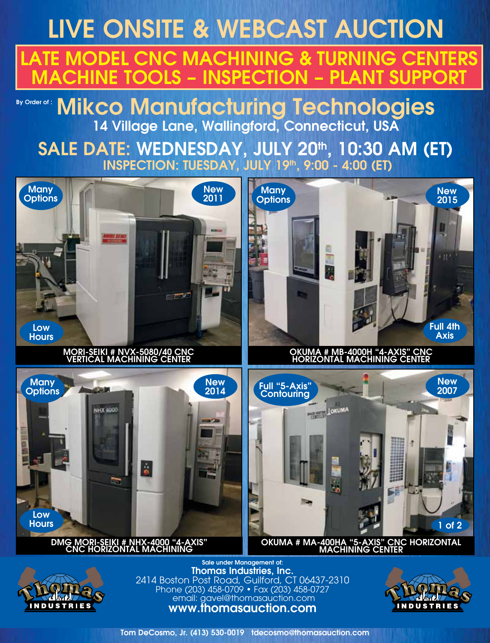## LIVE ONSITE & WEBCAST AUCTION TE MODEL CNC MACHINING & TURNING CENTERS **ACHINE TOOLS – INSPECTION – PLANT SUPPORT**

### By Order of : Mikco Manufacturing Technologies 14 Village Lane, Wallingford, Connecticut, USA

SALE DATE: WEDNESDAY, JULY 20th, 10:30 AM (ET) INSPECTION: TUESDAY, JULY 19th, 9:00 - 4:00 (ET)





2414 Boston Post Road, Guilford, CT 06437-2310 Phone (203) 458-0709 • Fax (203) 458-0727 email: gavel@thomasauction.com www.thomasauction.com



Tom DeCosmo, Jr. (413) 530-0019 tdecosmo@thomasauction.com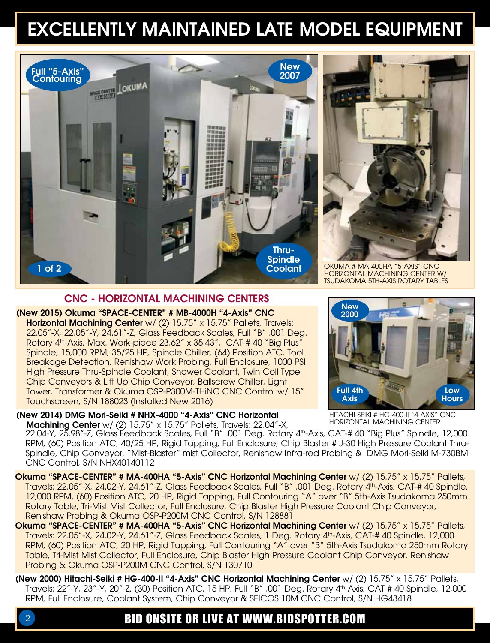## EXCELLENTLY MAINTAINED LATE MODEL EQUIPMENT





Okuma # MA-400HA "5-Axis" CNC Horizontal Machining Center w/ Tsudakoma 5th-Axis Rotary Tables

#### CNC - HORIZONTAL MACHINING CENTERS

(New 2015) Okuma "SPACE-CENTER" # MB-4000H "4-Axis" CNC Horizontal Machining Center w/ (2) 15.75" x 15.75" Pallets, Travels: 22.05"-X, 22.05"-Y, 24.61"-Z, Glass Feedback Scales, Full "B" .001 Deg. Rotary 4<sup>th</sup>-Axis, Max. Work-piece 23.62" x 35.43", CAT-# 40 "Big Plus" Spindle, 15,000 RPM, 35/25 HP, Spindle Chiller, (64) Position ATC, Tool Breakage Detection, Renishaw Work Probing, Full Enclosure, 1000 PSI High Pressure Thru-Spindle Coolant, Shower Coolant, Twin Coil Type Chip Conveyors & Lift Up Chip Conveyor, Ballscrew Chiller, Light Tower, Transformer & Okuma OSP-P300M-THiNC CNC Control w/ 15" Touchscreen, S/N 188023 (Installed New 2016)

(New 2014) DMG Mori-Seiki # NHX-4000 "4-Axis" CNC Horizontal

**Machining Center** w/ (2) 15.75" x 15.75" Pallets, Travels: 22.04"-X, Horizontal Machining Center 22.04-Y, 25.98"-Z, Glass Feedback Scales, Full "B" .001 Deg. Rotary 4th-Axis, CAT-# 40 "Big Plus" Spindle, 12,000 RPM, (60) Position ATC, 40/25 HP, Rigid Tapping, Full Enclosure, Chip Blaster # J-30 High Pressure Coolant Thru-Spindle, Chip Conveyor, "Mist-Blaster" mist Collector, Renishaw Infra-red Probing & DMG Mori-Seiki M-730BM CNC Control, S/N NHX40140112

Okuma "SPACE-CENTER" # MA-400HA "5-Axis" CNC Horizontal Machining Center w/ (2) 15.75" x 15.75" Pallets, Travels: 22.05"-X, 24.02-Y, 24.61"-Z, Glass Feedback Scales, Full "B" .001 Deg. Rotary 4th-Axis, CAT-# 40 Spindle, 12,000 RPM, (60) Position ATC, 20 HP, Rigid Tapping, Full Contouring "A" over "B" 5th-Axis Tsudakoma 250mm Rotary Table, Tri-Mist Mist Collector, Full Enclosure, Chip Blaster High Pressure Coolant Chip Conveyor, Renishaw Probing & Okuma OSP-P200M CNC Control, S/N 128881

Okuma "SPACE-CENTER" # MA-400HA "5-Axis" CNC Horizontal Machining Center w/ (2) 15.75" x 15.75" Pallets, Travels: 22.05"-X, 24.02-Y, 24.61"-Z, Glass Feedback Scales, 1 Deg. Rotary 4th-Axis, CAT-# 40 Spindle, 12,000 RPM, (60) Position ATC, 20 HP, Rigid Tapping, Full Contouring "A" over "B" 5th-Axis Tsudakoma 250mm Rotary Table, Tri-Mist Mist Collector, Full Enclosure, Chip Blaster High Pressure Coolant Chip Conveyor, Renishaw Probing & Okuma OSP-P200M CNC Control, S/N 130710

(New 2000) Hitachi-Seiki # HG-400-II "4-Axis" CNC Horizontal Machining Center w/ (2) 15.75" x 15.75" Pallets, Travels: 22"-Y, 23"-Y, 20"-Z, (30) Position ATC, 15 HP, Full "B" .001 Deg. Rotary 4th-Axis, CAT-# 40 Spindle, 12,000 RPM, Full Enclosure, Coolant System, Chip Conveyor & SEICOS 10M CNC Control, S/N HG43418

### 2 BID ONSITE OR LIVE AT WWW.BIDSPOTTER.COM



Hitachi-Seiki # HG-400-II "4-Axis" CNC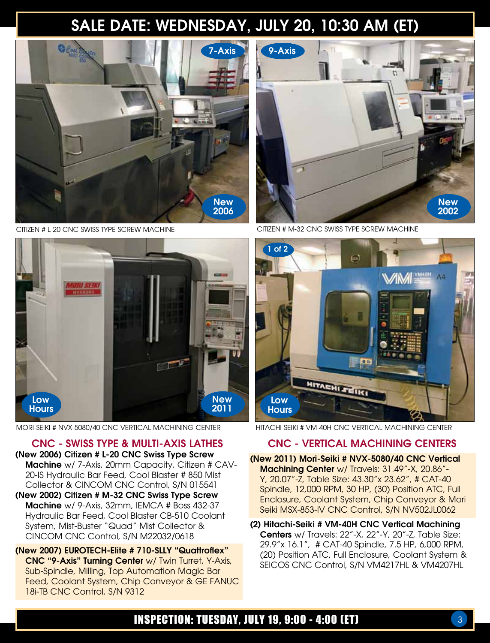## SALE DATE: WEDNESDAY, JULY 20, 10:30 AM (ET)



Citizen # L-20 CNC Swiss Type Screw Machine



MORI-SEIKI # NVX-5080/40 CNC VERTICAL MACHINING CENTER HITACHI-SEIKI # VM-40H CNC VERTICAL MACHINING CENTER

CNC - SWISS TYPE & MULTI-AXIS LATHES (New 2006) Citizen # L-20 CNC Swiss Type Screw Machine w/ 7-Axis, 20mm Capacity, Citizen # CAV-20-IS Hydraulic Bar Feed, Cool Blaster # 850 Mist Collector & CINCOM CNC Control, S/N 015541 (New 2002) Citizen # M-32 CNC Swiss Type Screw Machine w/ 9-Axis, 32mm, IEMCA # Boss 432-37 Hydraulic Bar Feed, Cool Blaster CB-510 Coolant

System, Mist-Buster "Quad" Mist Collector & CINCOM CNC Control, S/N M22032/0618 (New 2007) EUROTECH-Elite # 710-SLLY "Quattroflex" CNC "9-Axis" Turning Center w/ Twin Turret, Y-Axis, Sub-Spindle, Milling, Top Automation Magic Bar Feed, Coolant System, Chip Conveyor & GE FANUC

18i-TB CNC Control, S/N 9312



Citizen # M-32 CNC Swiss Type Screw Machine



### CNC - VERTICAL MACHINING CENTERS

(New 2011) Mori-Seiki # NVX-5080/40 CNC Vertical Machining Center w/ Travels: 31.49"-X, 20.86"-Y, 20.07"-Z, Table Size: 43.30"x 23.62", # CAT-40 Spindle, 12,000 RPM, 30 HP, (30) Position ATC, Full Enclosure, Coolant System, Chip Conveyor & Mori Seiki MSX-853-IV CNC Control, S/N NV502JL0062

(2) Hitachi-Seiki # VM-40H CNC Vertical Machining Centers w/ Travels: 22"-X, 22"-Y, 20"-Z, Table Size: 29.9"x 16.1", # CAT-40 Spindle, 7.5 HP, 6,000 RPM, (20) Position ATC, Full Enclosure, Coolant System & SEICOS CNC Control, S/N VM4217HL & VM4207HL

### INSPECTION: TUESDAY, JULY 19, 9:00 - 4:00 (ET)  $\overline{\phantom{a}3}$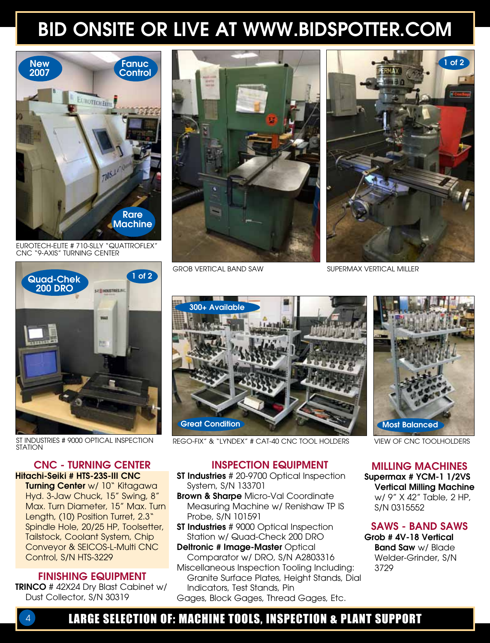## BID ONSITE OR LIVE AT WWW.BIDSPOTTER.COM



EUROTECH-Elite # 710-SLLY "Quattroflex" CNC "9-Axis" Turning Center



GROB VERTICAL BAND SAW



SUPERMAX VERTICAL MILLER



ST Industries # 9000 Optical Inspection **STATION** 

#### CNC - TURNING CENTER Hitachi-Seiki # HTS-23S-III CNC

Turning Center w/ 10" Kitagawa Hyd. 3-Jaw Chuck, 15" Swing, 8" Max. Turn Diameter, 15" Max. Turn Length, (10) Position Turret, 2.3" Spindle Hole, 20/25 HP, Toolsetter, Tailstock, Coolant System, Chip Conveyor & SEICOS-L-Multi CNC Control, S/N HTS-3229

#### FINISHING EQUIPMENT

TRINCO # 42X24 Dry Blast Cabinet w/ Dust Collector, S/N 30319



REGO-FIX" & "LYNDEX" # CAT-40 CNC TOOL HOLDERS VIEW OF CNC TOOLHOLDERS

**Brown & Sharpe Micro-Val Coordinate** Measuring Machine w/ Renishaw TP IS

**ST Industries** # 9000 Optical Inspection Station w/ Quad-Check 200 DRO Deltronic # Image-Master Optical

Comparator w/ DRO, S/N A2803316 Miscellaneous Inspection Tooling Including: Granite Surface Plates, Height Stands, Dial

Gages, Block Gages, Thread Gages, Etc.

System, S/N 133701

Probe, S/N 101591

INSPECTION EQUIPMENT ST Industries # 20-9700 Optical Inspection



MILLING MACHINES Supermax # YCM-1 1/2VS Vertical Milling Machine

w/ 9" X 42" Table, 2 HP, S/N 0315552

#### SAWS - BAND SAWS

Grob # 4V-18 Vertical **Band Saw w/ Blade** Welder-Grinder, S/N 3729

LARGE SELECTION OF: MACHINE TOOLS, INSPECTION & PLANT SUPPORT

Indicators, Test Stands, Pin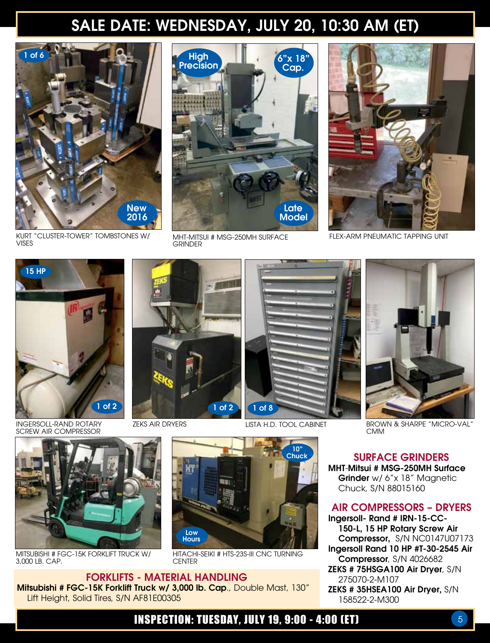## SALE DATE: WEDNESDAY, JULY 20, 10:30 AM (ET)



KURT "Cluster-Tower" Tombstones w/ Vises



**GRINDER** 



MHT-MITSUI # MSG-250MH SURFACE FLEX-ARM PNEUMATIC TAPPING UNIT



INGERSOLL-RAND ROTARY SCREW AIR COMPRESSOR



Mitsubishi # FGC-15K Forklift Truck w/ 3,000 lb. Cap.

Lift Height, Solid Tires, S/N AF81E00305



FORKLIFTS - MATERIAL HANDLING Mitsubishi # FGC-15K Forklift Truck w/ 3,000 lb. Cap., Double Mast, 130"



Hitachi-Seiki # HTS-23S-III CNC Turning **CENTER** 

1 of 8

LISTA H.D. Tool Cabinet



ZEKS AIR DRYERS **Brown & SHARPE "MICRO-VAL"** BROWN & SHARPE "MICRO-VAL" CMM

SURFACE GRINDERS MHT-Mitsui # MSG-250MH Surface Grinder w/ 6"x 18" Magnetic Chuck, S/N 88015160

#### AIR COMPRESSORS – DRYERS

Ingersoll- Rand # IRN-15-CC-150-L, 15 HP Rotary Screw Air Compressor, S/N NC0147U07173 Ingersoll Rand 10 HP #T-30-2545 Air Compressor, S/N 4026682 ZEKS # 75HSGA100 Air Dryer, S/N 275070-2-M107 ZEKS # 35HSEA100 Air Dryer, S/N 158522-2-M300

### **INSPECTION: TUESDAY, JULY 19, 9:00 - 4:00 (ET)** 5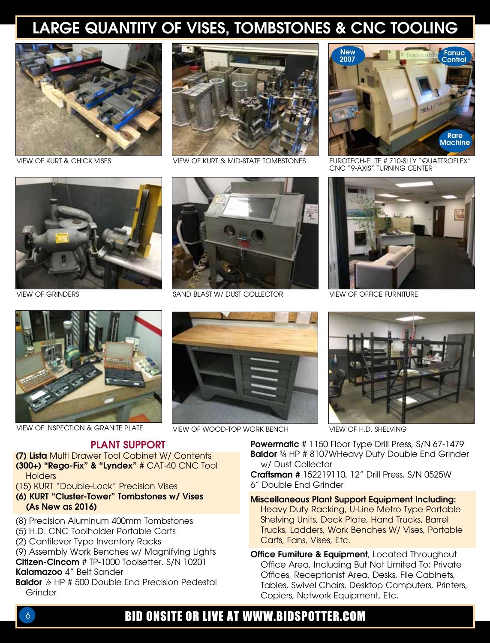## LARGE QUANTITY OF VISES, TOMBSTONES & CNC TOOLING





VIEW OF KURT & Mid-STATE TOMBSTONES



VIEW OF KURT & CHICK VISES VIEW OF KURT & MID-STATE TOMBSTONES EUROTECH-ELITE # 710-SLLY "QUATTROFLEX" CNC "9-Axis" Turning Center





VIEW OF INSPECTION & GRANITE PLATE VIEW OF WOOD-TOP WORK BENCH VIEW OF H.D. SHELVING

#### PLANT SUPPORT

(7) Lista Multi Drawer Tool Cabinet W/ Contents (300+) "Rego-Fix" & "Lyndex" # CAT-40 CNC Tool **Holders** 

(15) KURT "Double-Lock" Precision Vises

- (6) KURT "Cluster-Tower" Tombstones w/ Vises (As New as 2016)
- (8) Precision Aluminum 400mm Tombstones
- (5) H.D. CNC Toolholder Portable Carts
- (2) Cantilever Type Inventory Racks

(9) Assembly Work Benches w/ Magnifying Lights Citizen-Cincom # TP-1000 Toolsetter, S/N 10201 Kalamazoo 4" Belt Sander

**Baldor** 1/2 HP # 500 Double End Precision Pedestal **Grinder** 







Powermatic # 1150 Floor Type Drill Press, S/N 67-1479 Baldor 34 HP # 8107WHeavy Duty Double End Grinder w/ Dust Collector

Craftsman # 152219110, 12" Drill Press, S/N 0525W 6" Double End Grinder

Miscellaneous Plant Support Equipment Including: Heavy Duty Racking, U-Line Metro Type Portable Shelving Units, Dock Plate, Hand Trucks, Barrel Trucks, Ladders, Work Benches W/ Vises, Portable Carts, Fans, Vises, Etc.

Office Furniture & Equipment, Located Throughout Office Area, Including But Not Limited To: Private Offices, Receptionist Area, Desks, File Cabinets, Tables, Swivel Chairs, Desktop Computers, Printers, Copiers, Network Equipment, Etc.

### 6 BID ONSITE OR LIVE AT WWW.BIDSPOTTER.COM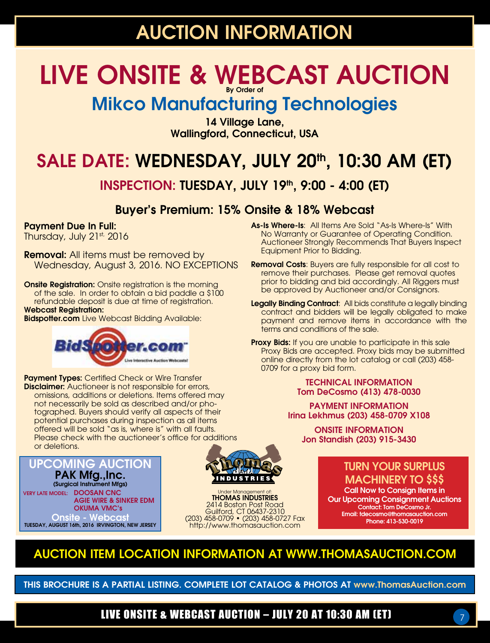## AUCTION INFORMATION

### LIVE ONSITE & WEBCAST AUCTION By Order of

## Mikco Manufacturing Technologies

14 Village Lane, Wallingford, Connecticut, USA

## SALE DATE: WEDNESDAY, JULY 20<sup>th</sup>, 10:30 AM (ET)

### INSPECTION: TUESDAY, JULY 19th, 9:00 - 4:00 (ET)

### Buyer's Premium: 15% Onsite & 18% Webcast

#### Payment Due In Full:

Thursday, July 21st, 2016

**Removal:** All items must be removed by Wednesday, August 3, 2016. NO EXCEPTIONS

**Onsite Registration:** Onsite registration is the morning of the sale. In order to obtain a bid paddle a \$100 refundable deposit is due at time of registration. Webcast Registration:

**Bidspotter.com** Live Webcast Bidding Available:



Payment Types: Certified Check or Wire Transfer **Disclaimer:** Auctioneer is not responsible for errors, omissions, additions or deletions. Items offered may not necessarily be sold as described and/or photographed. Buyers should verify all aspects of their potential purchases during inspection as all items offered will be sold "as is, where is" with all faults. Please check with the auctioneer's office for additions or deletions.

UPCOMING AUCTION PAK Mfg.,Inc. (Surgical Instrument Mfgs) VERY LATE MODEL: DOOSAN CNC AGIE WIRE & SINKER EDM OKUMA VMC's **Onsite - Webcast** TUESDAY, AUGUST 16th, 2016 IRVINGTON, NEW JERSEY



Under Management of: THOMAS INDUSTRIES 2414 Boston Post Road Guilford, CT 06437-2310 (203) 458-0709 • (203) 458-0727 Fax http://www.thomasauction.com

- As-Is Where-Is: All Items Are Sold "As-Is Where-Is" With No Warranty or Guarantee of Operating Condition. Auctioneer Strongly Recommends That Buyers Inspect Equipment Prior to Bidding.
- Removal Costs: Buyers are fully responsible for all cost to remove their purchases. Please get removal quotes prior to bidding and bid accordingly. All Riggers must be approved by Auctioneer and/or Consignors.
- Legally Binding Contract: All bids constitute a legally binding contract and bidders will be legally obligated to make payment and remove items in accordance with the terms and conditions of the sale.
- **Proxy Bids:** If you are unable to participate in this sale Proxy Bids are accepted. Proxy bids may be submitted online directly from the lot catalog or call (203) 458- 0709 for a proxy bid form.

#### TECHNICAL INFORMATION Tom DeCosmo (413) 478-0030

PAYMENT INFORMATION Irina Lekhmus (203) 458-0709 X108

ONSITE INFORMATION Jon Standish (203) 915-3430

### TURN YOUR SURPLUS MACHINERY TO \$\$\$

Call Now to Consign Items in Our Upcoming Consignment Auctions Contact: Tom DeCosmo Jr. Email: tdecosmo@thomasauction.com Phone: 413-530-0019

7

### AUCTION ITEM LOCATION INFORMATION at WWW.THOMASAUCTION.COM

THIS BROCHURE IS A PARTIAL LISTING. COMPLETE LOT CATALOG & PHOTOS AT www.ThomasAuction.com

LIVE ONSITE & WEBCAST AUCTION – JULY 20 AT 10:30 AM (ET)